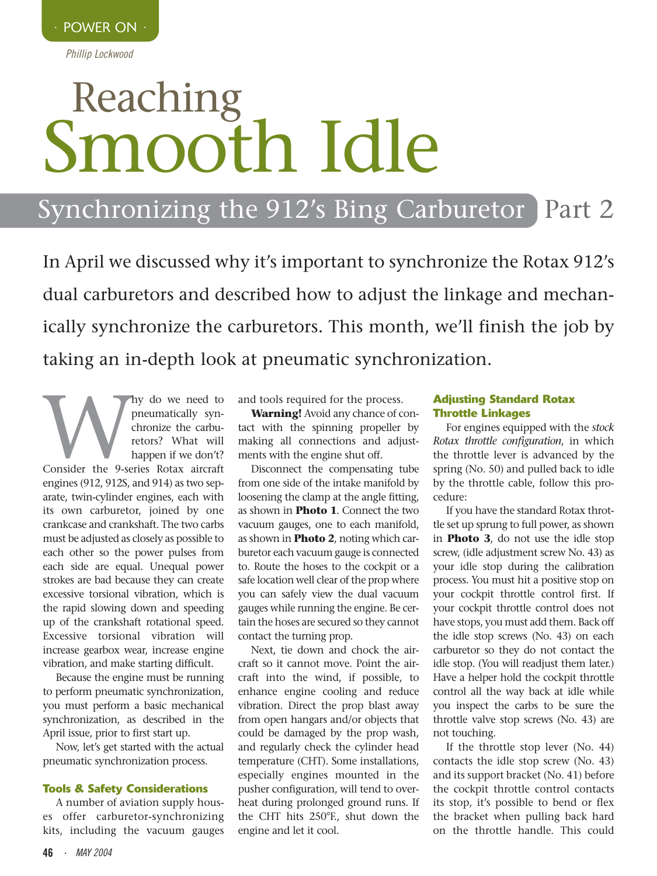*Phillip Lockwood*

# Reaching Smooth Idle

### Synchronizing the 912's Bing Carburetor Part 2

In April we discussed why it's important to synchronize the Rotax 912's dual carburetors and described how to adjust the linkage and mechanically synchronize the carburetors. This month, we'll finish the job by taking an in-depth look at pneumatic synchronization.

My do we need to<br>
preumatically syn-<br>
chronize the carbu-<br>
retors? What will<br>
happen if we don't?<br>
Consider the 9-series Rotax aircraft pneumatically synchronize the carburetors? What will happen if we don't? engines (912, 912S, and 914) as two separate, twin-cylinder engines, each with its own carburetor, joined by one crankcase and crankshaft. The two carbs must be adjusted as closely as possible to each other so the power pulses from each side are equal. Unequal power strokes are bad because they can create excessive torsional vibration, which is the rapid slowing down and speeding up of the crankshaft rotational speed. Excessive torsional vibration will increase gearbox wear, increase engine vibration, and make starting difficult.

Because the engine must be running to perform pneumatic synchronization, you must perform a basic mechanical synchronization, as described in the April issue, prior to first start up.

Now, let's get started with the actual pneumatic synchronization process.

#### **Tools & Safety Considerations**

A number of aviation supply houses offer carburetor-synchronizing kits, including the vacuum gauges

and tools required for the process.

**Warning!** Avoid any chance of contact with the spinning propeller by making all connections and adjustments with the engine shut off.

Disconnect the compensating tube from one side of the intake manifold by loosening the clamp at the angle fitting, as shown in **Photo 1**. Connect the two vacuum gauges, one to each manifold, as shown in **Photo 2**, noting which carburetor each vacuum gauge is connected to. Route the hoses to the cockpit or a safe location well clear of the prop where you can safely view the dual vacuum gauges while running the engine. Be certain the hoses are secured so they cannot contact the turning prop.

Next, tie down and chock the aircraft so it cannot move. Point the aircraft into the wind, if possible, to enhance engine cooling and reduce vibration. Direct the prop blast away from open hangars and/or objects that could be damaged by the prop wash, and regularly check the cylinder head temperature (CHT). Some installations, especially engines mounted in the pusher configuration, will tend to overheat during prolonged ground runs. If the CHT hits 250°F., shut down the engine and let it cool.

#### **Adjusting Standard Rotax Throttle Linkages**

For engines equipped with the *stock Rotax throttle configuration*, in which the throttle lever is advanced by the spring (No. 50) and pulled back to idle by the throttle cable, follow this procedure:

If you have the standard Rotax throttle set up sprung to full power, as shown in **Photo 3**, do not use the idle stop screw, (idle adjustment screw No. 43) as your idle stop during the calibration process. You must hit a positive stop on your cockpit throttle control first. If your cockpit throttle control does not have stops, you must add them. Back off the idle stop screws (No. 43) on each carburetor so they do not contact the idle stop. (You will readjust them later.) Have a helper hold the cockpit throttle control all the way back at idle while you inspect the carbs to be sure the throttle valve stop screws (No. 43) are not touching.

If the throttle stop lever (No. 44) contacts the idle stop screw (No. 43) and its support bracket (No. 41) before the cockpit throttle control contacts its stop, it's possible to bend or flex the bracket when pulling back hard on the throttle handle. This could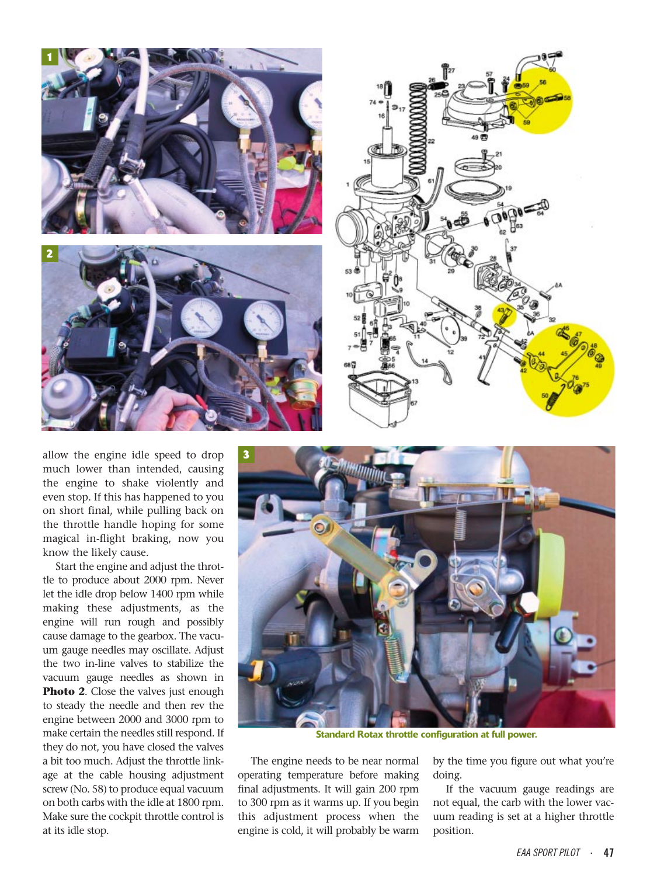

allow the engine idle speed to drop much lower than intended, causing the engine to shake violently and even stop. If this has happened to you on short final, while pulling back on the throttle handle hoping for some magical in-flight braking, now you know the likely cause.

Start the engine and adjust the throttle to produce about 2000 rpm. Never let the idle drop below 1400 rpm while making these adjustments, as the engine will run rough and possibly cause damage to the gearbox. The vacuum gauge needles may oscillate. Adjust the two in-line valves to stabilize the vacuum gauge needles as shown in **Photo 2.** Close the valves just enough to steady the needle and then rev the engine between 2000 and 3000 rpm to make certain the needles still respond. If they do not, you have closed the valves a bit too much. Adjust the throttle linkage at the cable housing adjustment screw (No. 58) to produce equal vacuum on both carbs with the idle at 1800 rpm. Make sure the cockpit throttle control is at its idle stop.



**Standard Rotax throttle configuration at full power.**

The engine needs to be near normal operating temperature before making final adjustments. It will gain 200 rpm to 300 rpm as it warms up. If you begin this adjustment process when the engine is cold, it will probably be warm

by the time you figure out what you're doing.

If the vacuum gauge readings are not equal, the carb with the lower vacuum reading is set at a higher throttle position.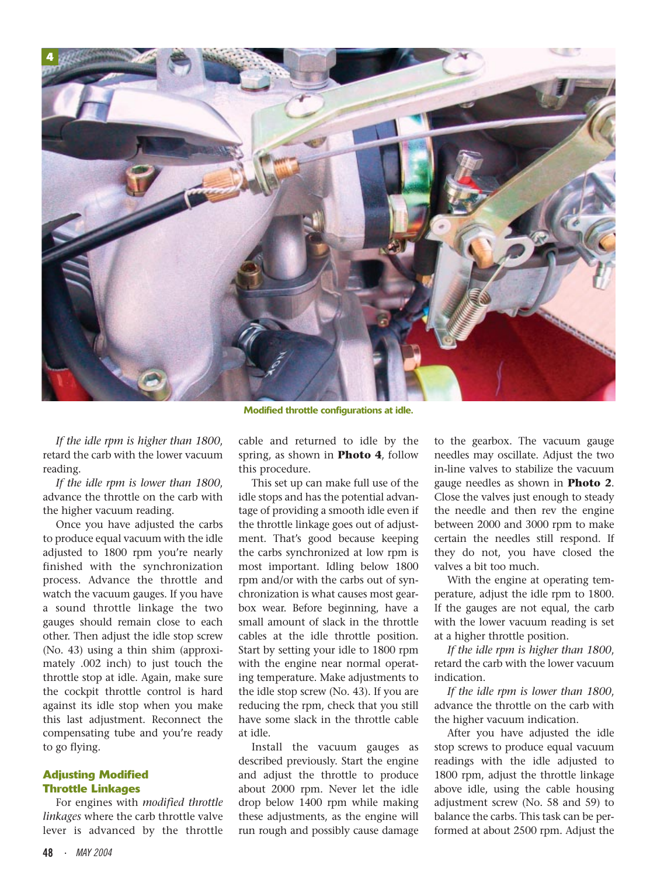

*If the idle rpm is higher than 1800*, retard the carb with the lower vacuum reading.

*If the idle rpm is lower than 1800*, advance the throttle on the carb with the higher vacuum reading.

Once you have adjusted the carbs to produce equal vacuum with the idle adjusted to 1800 rpm you're nearly finished with the synchronization process. Advance the throttle and watch the vacuum gauges. If you have a sound throttle linkage the two gauges should remain close to each other. Then adjust the idle stop screw (No. 43) using a thin shim (approximately .002 inch) to just touch the throttle stop at idle. Again, make sure the cockpit throttle control is hard against its idle stop when you make this last adjustment. Reconnect the compensating tube and you're ready to go flying.

#### **Adjusting Modified Throttle Linkages**

For engines with *modified throttle linkages* where the carb throttle valve lever is advanced by the throttle

**Modified throttle configurations at idle.**

cable and returned to idle by the spring, as shown in **Photo 4**, follow this procedure.

This set up can make full use of the idle stops and has the potential advantage of providing a smooth idle even if the throttle linkage goes out of adjustment. That's good because keeping the carbs synchronized at low rpm is most important. Idling below 1800 rpm and/or with the carbs out of synchronization is what causes most gearbox wear. Before beginning, have a small amount of slack in the throttle cables at the idle throttle position. Start by setting your idle to 1800 rpm with the engine near normal operating temperature. Make adjustments to the idle stop screw (No. 43). If you are reducing the rpm, check that you still have some slack in the throttle cable at idle.

Install the vacuum gauges as described previously. Start the engine and adjust the throttle to produce about 2000 rpm. Never let the idle drop below 1400 rpm while making these adjustments, as the engine will run rough and possibly cause damage to the gearbox. The vacuum gauge needles may oscillate. Adjust the two in-line valves to stabilize the vacuum gauge needles as shown in **Photo 2**. Close the valves just enough to steady the needle and then rev the engine between 2000 and 3000 rpm to make certain the needles still respond. If they do not, you have closed the valves a bit too much.

With the engine at operating temperature, adjust the idle rpm to 1800. If the gauges are not equal, the carb with the lower vacuum reading is set at a higher throttle position.

*If the idle rpm is higher than 1800*, retard the carb with the lower vacuum indication.

*If the idle rpm is lower than 1800*, advance the throttle on the carb with the higher vacuum indication.

After you have adjusted the idle stop screws to produce equal vacuum readings with the idle adjusted to 1800 rpm, adjust the throttle linkage above idle, using the cable housing adjustment screw (No. 58 and 59) to balance the carbs. This task can be performed at about 2500 rpm. Adjust the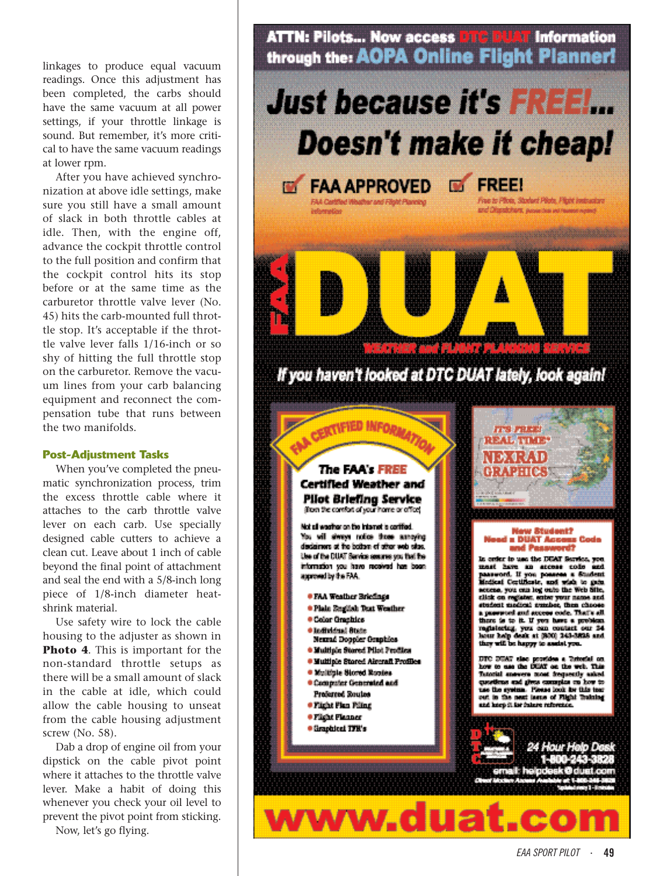linkages to produce equal vacuum readings. Once this adjustment has been completed, the carbs should have the same vacuum at all power settings, if your throttle linkage is sound. But remember, it's more critical to have the same vacuum readings at lower rpm.

After you have achieved synchronization at above idle settings, make sure you still have a small amount of slack in both throttle cables at idle. Then, with the engine off, advance the cockpit throttle control to the full position and confirm that the cockpit control hits its stop before or at the same time as the carburetor throttle valve lever (No. 45) hits the carb-mounted full throttle stop. It's acceptable if the throttle valve lever falls 1/16-inch or so shy of hitting the full throttle stop on the carburetor. Remove the vacuum lines from your carb balancing equipment and reconnect the compensation tube that runs between the two manifolds.

#### **Post-Adjustment Tasks**

When you've completed the pneumatic synchronization process, trim the excess throttle cable where it attaches to the carb throttle valve lever on each carb. Use specially designed cable cutters to achieve a clean cut. Leave about 1 inch of cable beyond the final point of attachment and seal the end with a 5/8-inch long piece of 1/8-inch diameter heatshrink material.

Use safety wire to lock the cable housing to the adjuster as shown in **Photo 4**. This is important for the non-standard throttle setups as there will be a small amount of slack in the cable at idle, which could allow the cable housing to unseat from the cable housing adjustment screw (No. 58).

Dab a drop of engine oil from your dipstick on the cable pivot point where it attaches to the throttle valve lever. Make a habit of doing this whenever you check your oil level to prevent the pivot point from sticking.

Now, let's go flying.



www.duat.c

**O**dustic